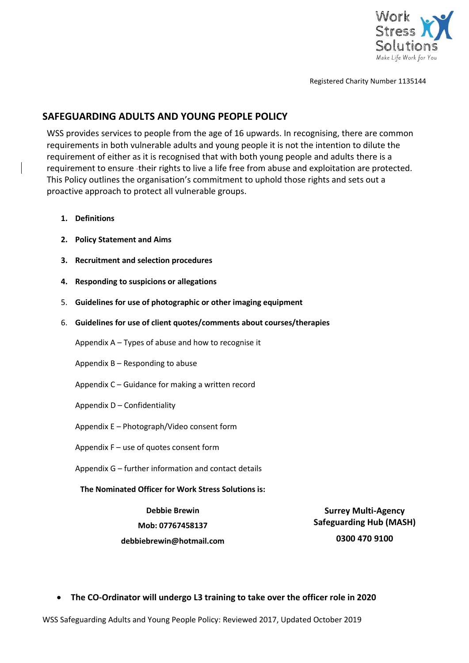

Registered Charity Number 1135144

# **SAFEGUARDING ADULTS AND YOUNG PEOPLE POLICY**

WSS provides services to people from the age of 16 upwards. In recognising, there are common requirements in both vulnerable adults and young people it is not the intention to dilute the requirement of either as it is recognised that with both young people and adults there is a requirement to ensure -their rights to live a life free from abuse and exploitation are protected. This Policy outlines the organisation's commitment to uphold those rights and sets out a proactive approach to protect all vulnerable groups.

- **1. Definitions**
- **2. Policy Statement and Aims**
- **3. Recruitment and selection procedures**
- **4. Responding to suspicions or allegations**
- 5. **Guidelines for use of photographic or other imaging equipment**
- 6. **Guidelines for use of client quotes/comments about courses/therapies**

Appendix A – Types of abuse and how to recognise it

Appendix B – Responding to abuse

- Appendix C Guidance for making a written record
- Appendix D Confidentiality
- Appendix E Photograph/Video consent form

Appendix F – use of quotes consent form

Appendix G – further information and contact details

**The Nominated Officer for Work Stress Solutions is:**

**Debbie Brewin**

**Mob: 07767458137**

**Surrey Multi-Agency Safeguarding Hub (MASH)**

**debbiebrewin@hotmail.com**

**0300 470 9100**

• **The CO-Ordinator will undergo L3 training to take over the officer role in 2020**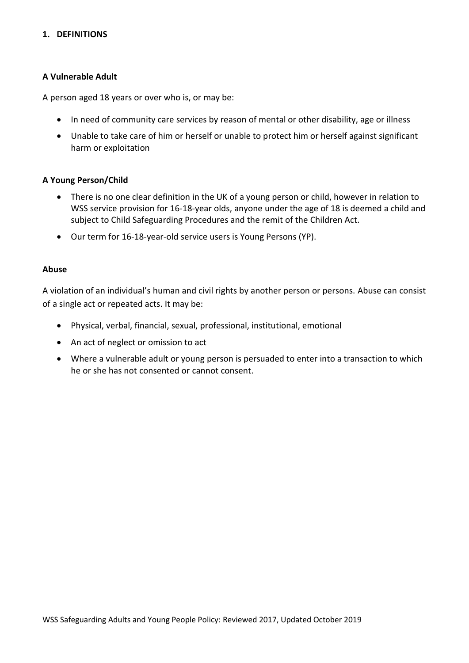#### **1. DEFINITIONS**

#### **A Vulnerable Adult**

A person aged 18 years or over who is, or may be:

- In need of community care services by reason of mental or other disability, age or illness
- Unable to take care of him or herself or unable to protect him or herself against significant harm or exploitation

#### **A Young Person/Child**

- There is no one clear definition in the UK of a young person or child, however in relation to WSS service provision for 16-18-year olds, anyone under the age of 18 is deemed a child and subject to Child Safeguarding Procedures and the remit of the Children Act.
- Our term for 16-18-year-old service users is Young Persons (YP).

#### **Abuse**

A violation of an individual's human and civil rights by another person or persons. Abuse can consist of a single act or repeated acts. It may be:

- Physical, verbal, financial, sexual, professional, institutional, emotional
- An act of neglect or omission to act
- Where a vulnerable adult or young person is persuaded to enter into a transaction to which he or she has not consented or cannot consent.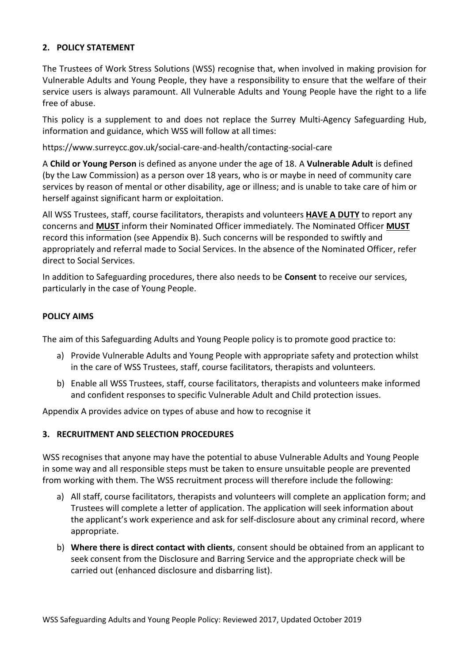### **2. POLICY STATEMENT**

The Trustees of Work Stress Solutions (WSS) recognise that, when involved in making provision for Vulnerable Adults and Young People, they have a responsibility to ensure that the welfare of their service users is always paramount. All Vulnerable Adults and Young People have the right to a life free of abuse.

This policy is a supplement to and does not replace the Surrey Multi-Agency Safeguarding Hub, information and guidance, which WSS will follow at all times:

https://www.surreycc.gov.uk/social-care-and-health/contacting-social-care

A **Child or Young Person** is defined as anyone under the age of 18. A **Vulnerable Adult** is defined (by the Law Commission) as a person over 18 years, who is or maybe in need of community care services by reason of mental or other disability, age or illness; and is unable to take care of him or herself against significant harm or exploitation.

All WSS Trustees, staff, course facilitators, therapists and volunteers **HAVE A DUTY** to report any concerns and **MUST** inform their Nominated Officer immediately. The Nominated Officer **MUST** record this information (see Appendix B). Such concerns will be responded to swiftly and appropriately and referral made to Social Services. In the absence of the Nominated Officer, refer direct to Social Services.

In addition to Safeguarding procedures, there also needs to be **Consent** to receive our services, particularly in the case of Young People.

#### **POLICY AIMS**

The aim of this Safeguarding Adults and Young People policy is to promote good practice to:

- a) Provide Vulnerable Adults and Young People with appropriate safety and protection whilst in the care of WSS Trustees, staff, course facilitators, therapists and volunteers.
- b) Enable all WSS Trustees, staff, course facilitators, therapists and volunteers make informed and confident responses to specific Vulnerable Adult and Child protection issues.

Appendix A provides advice on types of abuse and how to recognise it

#### **3. RECRUITMENT AND SELECTION PROCEDURES**

WSS recognises that anyone may have the potential to abuse Vulnerable Adults and Young People in some way and all responsible steps must be taken to ensure unsuitable people are prevented from working with them. The WSS recruitment process will therefore include the following:

- a) All staff, course facilitators, therapists and volunteers will complete an application form; and Trustees will complete a letter of application. The application will seek information about the applicant's work experience and ask for self-disclosure about any criminal record, where appropriate.
- b) **Where there is direct contact with clients**, consent should be obtained from an applicant to seek consent from the Disclosure and Barring Service and the appropriate check will be carried out (enhanced disclosure and disbarring list).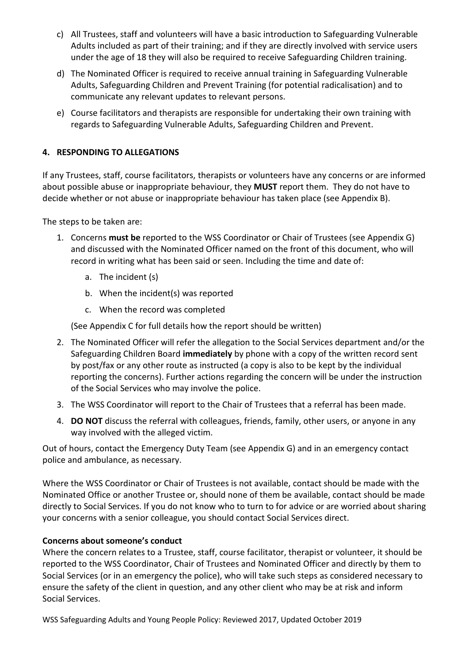- c) All Trustees, staff and volunteers will have a basic introduction to Safeguarding Vulnerable Adults included as part of their training; and if they are directly involved with service users under the age of 18 they will also be required to receive Safeguarding Children training.
- d) The Nominated Officer is required to receive annual training in Safeguarding Vulnerable Adults, Safeguarding Children and Prevent Training (for potential radicalisation) and to communicate any relevant updates to relevant persons.
- e) Course facilitators and therapists are responsible for undertaking their own training with regards to Safeguarding Vulnerable Adults, Safeguarding Children and Prevent.

# **4. RESPONDING TO ALLEGATIONS**

If any Trustees, staff, course facilitators, therapists or volunteers have any concerns or are informed about possible abuse or inappropriate behaviour, they **MUST** report them. They do not have to decide whether or not abuse or inappropriate behaviour has taken place (see Appendix B).

The steps to be taken are:

- 1. Concerns **must be** reported to the WSS Coordinator or Chair of Trustees (see Appendix G) and discussed with the Nominated Officer named on the front of this document, who will record in writing what has been said or seen. Including the time and date of:
	- a. The incident (s)
	- b. When the incident(s) was reported
	- c. When the record was completed

(See Appendix C for full details how the report should be written)

- 2. The Nominated Officer will refer the allegation to the Social Services department and/or the Safeguarding Children Board **immediately** by phone with a copy of the written record sent by post/fax or any other route as instructed (a copy is also to be kept by the individual reporting the concerns). Further actions regarding the concern will be under the instruction of the Social Services who may involve the police.
- 3. The WSS Coordinator will report to the Chair of Trustees that a referral has been made.
- 4. **DO NOT** discuss the referral with colleagues, friends, family, other users, or anyone in any way involved with the alleged victim.

Out of hours, contact the Emergency Duty Team (see Appendix G) and in an emergency contact police and ambulance, as necessary.

Where the WSS Coordinator or Chair of Trustees is not available, contact should be made with the Nominated Office or another Trustee or, should none of them be available, contact should be made directly to Social Services. If you do not know who to turn to for advice or are worried about sharing your concerns with a senior colleague, you should contact Social Services direct.

## **Concerns about someone's conduct**

Where the concern relates to a Trustee, staff, course facilitator, therapist or volunteer, it should be reported to the WSS Coordinator, Chair of Trustees and Nominated Officer and directly by them to Social Services (or in an emergency the police), who will take such steps as considered necessary to ensure the safety of the client in question, and any other client who may be at risk and inform Social Services.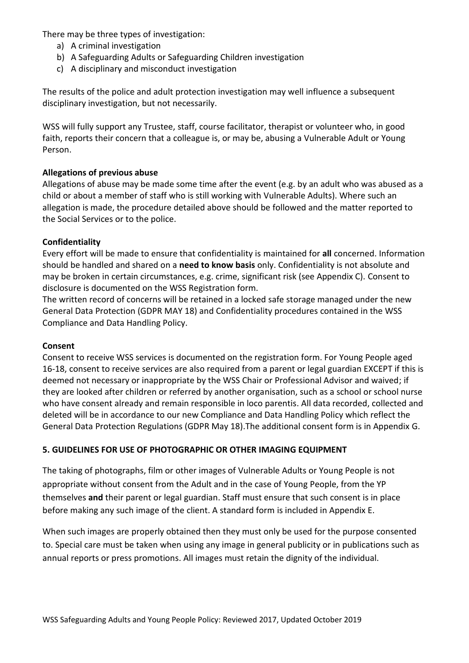There may be three types of investigation:

- a) A criminal investigation
- b) A Safeguarding Adults or Safeguarding Children investigation
- c) A disciplinary and misconduct investigation

The results of the police and adult protection investigation may well influence a subsequent disciplinary investigation, but not necessarily.

WSS will fully support any Trustee, staff, course facilitator, therapist or volunteer who, in good faith, reports their concern that a colleague is, or may be, abusing a Vulnerable Adult or Young Person.

# **Allegations of previous abuse**

Allegations of abuse may be made some time after the event (e.g. by an adult who was abused as a child or about a member of staff who is still working with Vulnerable Adults). Where such an allegation is made, the procedure detailed above should be followed and the matter reported to the Social Services or to the police.

## **Confidentiality**

Every effort will be made to ensure that confidentiality is maintained for **all** concerned. Information should be handled and shared on a **need to know basis** only. Confidentiality is not absolute and may be broken in certain circumstances, e.g. crime, significant risk (see Appendix C). Consent to disclosure is documented on the WSS Registration form.

The written record of concerns will be retained in a locked safe storage managed under the new General Data Protection (GDPR MAY 18) and Confidentiality procedures contained in the WSS Compliance and Data Handling Policy.

## **Consent**

Consent to receive WSS services is documented on the registration form. For Young People aged 16-18, consent to receive services are also required from a parent or legal guardian EXCEPT if this is deemed not necessary or inappropriate by the WSS Chair or Professional Advisor and waived; if they are looked after children or referred by another organisation, such as a school or school nurse who have consent already and remain responsible in loco parentis. All data recorded, collected and deleted will be in accordance to our new Compliance and Data Handling Policy which reflect the General Data Protection Regulations (GDPR May 18).The additional consent form is in Appendix G.

## **5. GUIDELINES FOR USE OF PHOTOGRAPHIC OR OTHER IMAGING EQUIPMENT**

The taking of photographs, film or other images of Vulnerable Adults or Young People is not appropriate without consent from the Adult and in the case of Young People, from the YP themselves **and** their parent or legal guardian. Staff must ensure that such consent is in place before making any such image of the client. A standard form is included in Appendix E.

When such images are properly obtained then they must only be used for the purpose consented to. Special care must be taken when using any image in general publicity or in publications such as annual reports or press promotions. All images must retain the dignity of the individual.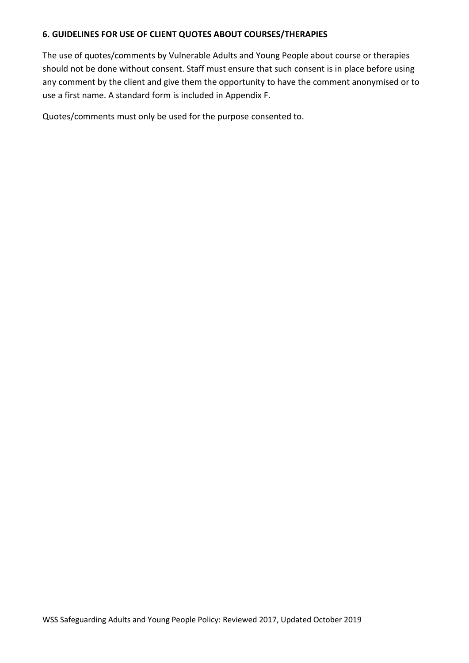### **6. GUIDELINES FOR USE OF CLIENT QUOTES ABOUT COURSES/THERAPIES**

The use of quotes/comments by Vulnerable Adults and Young People about course or therapies should not be done without consent. Staff must ensure that such consent is in place before using any comment by the client and give them the opportunity to have the comment anonymised or to use a first name. A standard form is included in Appendix F.

Quotes/comments must only be used for the purpose consented to.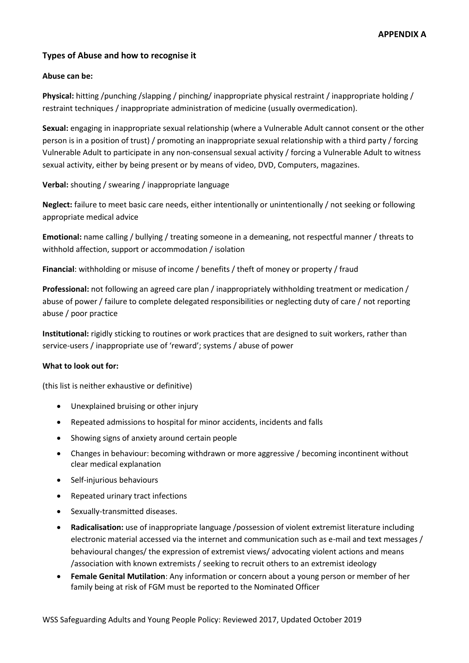### **Types of Abuse and how to recognise it**

#### **Abuse can be:**

**Physical:** hitting /punching /slapping / pinching/ inappropriate physical restraint / inappropriate holding / restraint techniques / inappropriate administration of medicine (usually overmedication).

**Sexual:** engaging in inappropriate sexual relationship (where a Vulnerable Adult cannot consent or the other person is in a position of trust) / promoting an inappropriate sexual relationship with a third party / forcing Vulnerable Adult to participate in any non-consensual sexual activity / forcing a Vulnerable Adult to witness sexual activity, either by being present or by means of video, DVD, Computers, magazines.

**Verbal:** shouting / swearing / inappropriate language

**Neglect:** failure to meet basic care needs, either intentionally or unintentionally / not seeking or following appropriate medical advice

**Emotional:** name calling / bullying / treating someone in a demeaning, not respectful manner / threats to withhold affection, support or accommodation / isolation

**Financial**: withholding or misuse of income / benefits / theft of money or property / fraud

**Professional:** not following an agreed care plan / inappropriately withholding treatment or medication / abuse of power / failure to complete delegated responsibilities or neglecting duty of care / not reporting abuse / poor practice

**Institutional:** rigidly sticking to routines or work practices that are designed to suit workers, rather than service-users / inappropriate use of 'reward'; systems / abuse of power

#### **What to look out for:**

(this list is neither exhaustive or definitive)

- Unexplained bruising or other injury
- Repeated admissions to hospital for minor accidents, incidents and falls
- Showing signs of anxiety around certain people
- Changes in behaviour: becoming withdrawn or more aggressive / becoming incontinent without clear medical explanation
- Self-injurious behaviours
- Repeated urinary tract infections
- Sexually-transmitted diseases.
- **Radicalisation:** use of inappropriate language /possession of violent extremist literature including electronic material accessed via the internet and communication such as e-mail and text messages / behavioural changes/ the expression of extremist views/ advocating violent actions and means /association with known extremists / seeking to recruit others to an extremist ideology
- **Female Genital Mutilation**: Any information or concern about a young person or member of her family being at risk of FGM must be reported to the Nominated Officer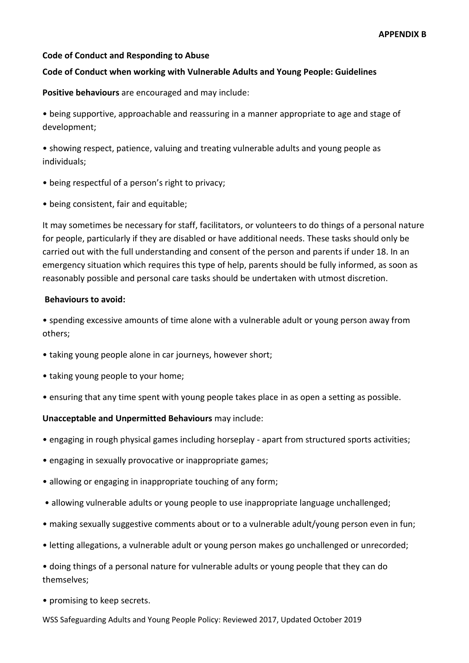### **Code of Conduct and Responding to Abuse**

### **Code of Conduct when working with Vulnerable Adults and Young People: Guidelines**

**Positive behaviours** are encouraged and may include:

• being supportive, approachable and reassuring in a manner appropriate to age and stage of development;

• showing respect, patience, valuing and treating vulnerable adults and young people as individuals;

- being respectful of a person's right to privacy;
- being consistent, fair and equitable;

It may sometimes be necessary for staff, facilitators, or volunteers to do things of a personal nature for people, particularly if they are disabled or have additional needs. These tasks should only be carried out with the full understanding and consent of the person and parents if under 18. In an emergency situation which requires this type of help, parents should be fully informed, as soon as reasonably possible and personal care tasks should be undertaken with utmost discretion.

#### **Behaviours to avoid:**

• spending excessive amounts of time alone with a vulnerable adult or young person away from others;

- taking young people alone in car journeys, however short;
- taking young people to your home;
- ensuring that any time spent with young people takes place in as open a setting as possible.

#### **Unacceptable and Unpermitted Behaviours** may include:

- engaging in rough physical games including horseplay apart from structured sports activities;
- engaging in sexually provocative or inappropriate games;
- allowing or engaging in inappropriate touching of any form;
- allowing vulnerable adults or young people to use inappropriate language unchallenged;
- making sexually suggestive comments about or to a vulnerable adult/young person even in fun;
- letting allegations, a vulnerable adult or young person makes go unchallenged or unrecorded;
- doing things of a personal nature for vulnerable adults or young people that they can do themselves;
- promising to keep secrets.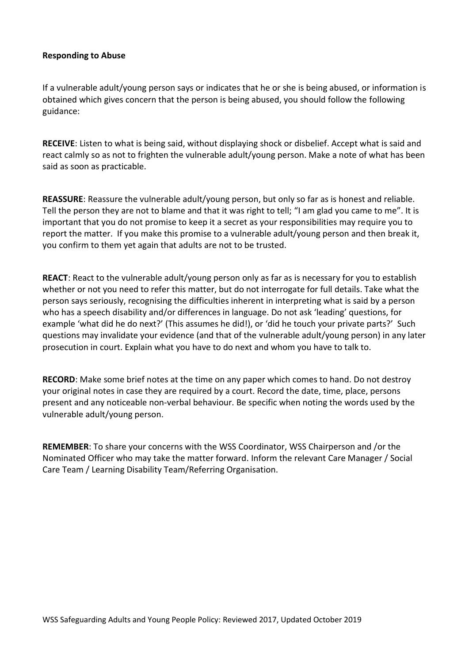### **Responding to Abuse**

If a vulnerable adult/young person says or indicates that he or she is being abused, or information is obtained which gives concern that the person is being abused, you should follow the following guidance:

**RECEIVE**: Listen to what is being said, without displaying shock or disbelief. Accept what is said and react calmly so as not to frighten the vulnerable adult/young person. Make a note of what has been said as soon as practicable.

**REASSURE**: Reassure the vulnerable adult/young person, but only so far as is honest and reliable. Tell the person they are not to blame and that it was right to tell; "I am glad you came to me". It is important that you do not promise to keep it a secret as your responsibilities may require you to report the matter. If you make this promise to a vulnerable adult/young person and then break it, you confirm to them yet again that adults are not to be trusted.

**REACT**: React to the vulnerable adult/young person only as far as is necessary for you to establish whether or not you need to refer this matter, but do not interrogate for full details. Take what the person says seriously, recognising the difficulties inherent in interpreting what is said by a person who has a speech disability and/or differences in language. Do not ask 'leading' questions, for example 'what did he do next?' (This assumes he did!), or 'did he touch your private parts?' Such questions may invalidate your evidence (and that of the vulnerable adult/young person) in any later prosecution in court. Explain what you have to do next and whom you have to talk to.

**RECORD**: Make some brief notes at the time on any paper which comes to hand. Do not destroy your original notes in case they are required by a court. Record the date, time, place, persons present and any noticeable non-verbal behaviour. Be specific when noting the words used by the vulnerable adult/young person.

**REMEMBER**: To share your concerns with the WSS Coordinator, WSS Chairperson and /or the Nominated Officer who may take the matter forward. Inform the relevant Care Manager / Social Care Team / Learning Disability Team/Referring Organisation.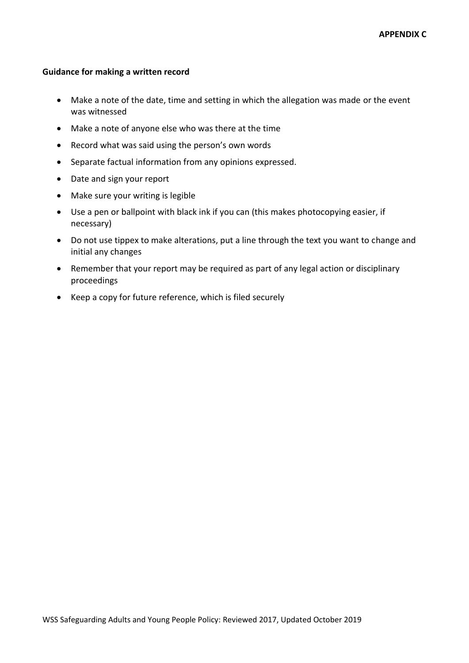#### **Guidance for making a written record**

- Make a note of the date, time and setting in which the allegation was made or the event was witnessed
- Make a note of anyone else who was there at the time
- Record what was said using the person's own words
- Separate factual information from any opinions expressed.
- Date and sign your report
- Make sure your writing is legible
- Use a pen or ballpoint with black ink if you can (this makes photocopying easier, if necessary)
- Do not use tippex to make alterations, put a line through the text you want to change and initial any changes
- Remember that your report may be required as part of any legal action or disciplinary proceedings
- Keep a copy for future reference, which is filed securely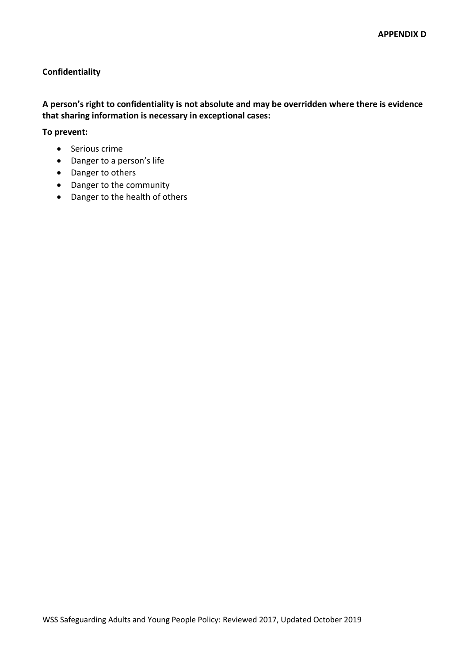### **Confidentiality**

### **A person's right to confidentiality is not absolute and may be overridden where there is evidence that sharing information is necessary in exceptional cases:**

**To prevent:**

- Serious crime
- Danger to a person's life
- Danger to others
- Danger to the community
- Danger to the health of others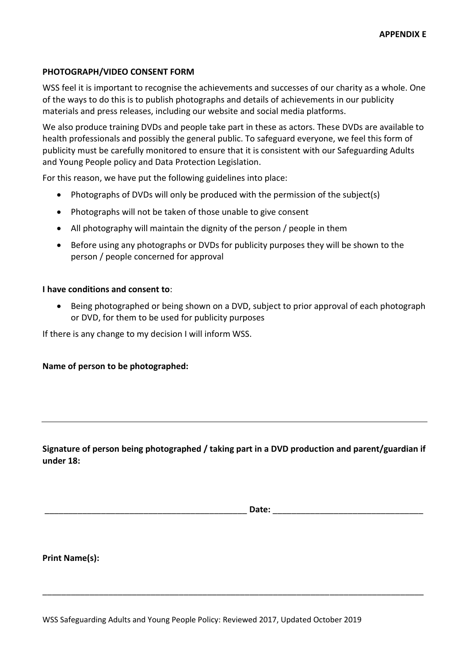### **PHOTOGRAPH/VIDEO CONSENT FORM**

WSS feel it is important to recognise the achievements and successes of our charity as a whole. One of the ways to do this is to publish photographs and details of achievements in our publicity materials and press releases, including our website and social media platforms.

We also produce training DVDs and people take part in these as actors. These DVDs are available to health professionals and possibly the general public. To safeguard everyone, we feel this form of publicity must be carefully monitored to ensure that it is consistent with our Safeguarding Adults and Young People policy and Data Protection Legislation.

For this reason, we have put the following guidelines into place:

- Photographs of DVDs will only be produced with the permission of the subject(s)
- Photographs will not be taken of those unable to give consent
- All photography will maintain the dignity of the person / people in them
- Before using any photographs or DVDs for publicity purposes they will be shown to the person / people concerned for approval

#### **I have conditions and consent to**:

• Being photographed or being shown on a DVD, subject to prior approval of each photograph or DVD, for them to be used for publicity purposes

If there is any change to my decision I will inform WSS.

#### **Name of person to be photographed:**

## **Signature of person being photographed / taking part in a DVD production and parent/guardian if under 18:**

\_\_\_\_\_\_\_\_\_\_\_\_\_\_\_\_\_\_\_\_\_\_\_\_\_\_\_\_\_\_\_\_\_\_\_\_\_\_\_\_\_\_\_\_\_\_\_\_\_\_\_\_\_\_\_\_\_\_\_\_\_\_\_\_\_\_\_\_\_\_\_\_\_\_\_\_\_\_\_\_\_

\_\_\_\_\_\_\_\_\_\_\_\_\_\_\_\_\_\_\_\_\_\_\_\_\_\_\_\_\_\_\_\_\_\_\_\_\_\_\_\_\_\_\_ **Date:** \_\_\_\_\_\_\_\_\_\_\_\_\_\_\_\_\_\_\_\_\_\_\_\_\_\_\_\_\_\_\_\_

**Print Name(s):**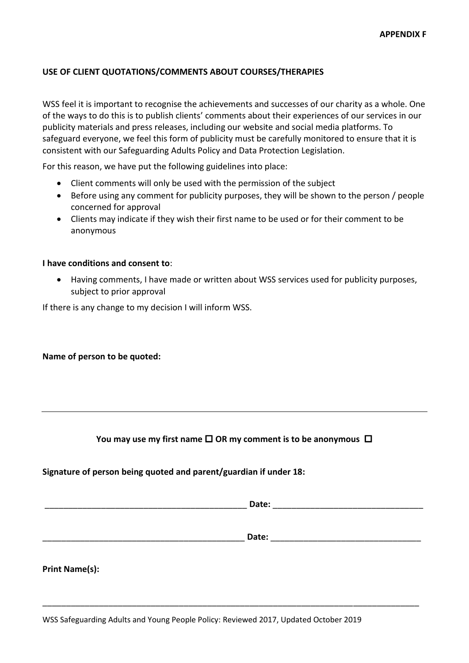#### **USE OF CLIENT QUOTATIONS/COMMENTS ABOUT COURSES/THERAPIES**

WSS feel it is important to recognise the achievements and successes of our charity as a whole. One of the ways to do this is to publish clients' comments about their experiences of our services in our publicity materials and press releases, including our website and social media platforms. To safeguard everyone, we feel this form of publicity must be carefully monitored to ensure that it is consistent with our Safeguarding Adults Policy and Data Protection Legislation.

For this reason, we have put the following guidelines into place:

- Client comments will only be used with the permission of the subject
- Before using any comment for publicity purposes, they will be shown to the person / people concerned for approval
- Clients may indicate if they wish their first name to be used or for their comment to be anonymous

#### **I have conditions and consent to**:

• Having comments, I have made or written about WSS services used for publicity purposes, subject to prior approval

If there is any change to my decision I will inform WSS.

#### **Name of person to be quoted:**

#### You may use my first name  $\square$  OR my comment is to be anonymous  $\square$

**Signature of person being quoted and parent/guardian if under 18:**

\_\_\_\_\_\_\_\_\_\_\_\_\_\_\_\_\_\_\_\_\_\_\_\_\_\_\_\_\_\_\_\_\_\_\_\_\_\_\_\_\_\_\_ **Date:** \_\_\_\_\_\_\_\_\_\_\_\_\_\_\_\_\_\_\_\_\_\_\_\_\_\_\_\_\_\_\_\_

\_\_\_\_\_\_\_\_\_\_\_\_\_\_\_\_\_\_\_\_\_\_\_\_\_\_\_\_\_\_\_\_\_\_\_\_\_\_\_\_\_\_\_\_\_\_\_\_\_\_\_\_\_\_\_\_\_\_\_\_\_\_\_\_\_\_\_\_\_\_\_\_\_\_\_\_\_\_\_\_

\_\_\_\_\_\_\_\_\_\_\_\_\_\_\_\_\_\_\_\_\_\_\_\_\_\_\_\_\_\_\_\_\_\_\_\_\_\_\_\_\_\_\_ **Date:** \_\_\_\_\_\_\_\_\_\_\_\_\_\_\_\_\_\_\_\_\_\_\_\_\_\_\_\_\_\_\_\_

| <b>Print Name(s):</b> |
|-----------------------|
|-----------------------|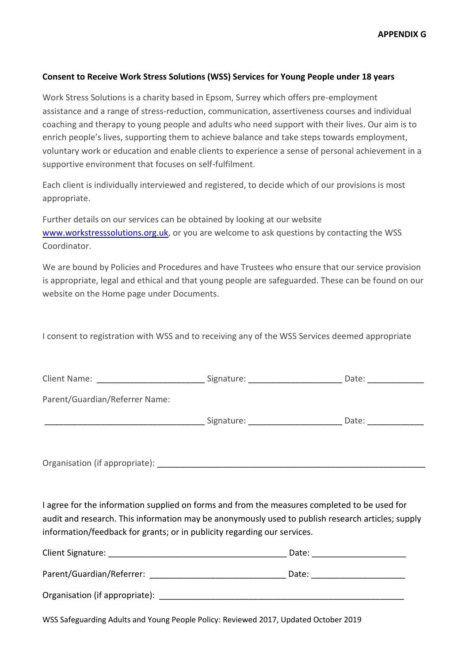**APPENDIX G**

### **Consent to Receive Work Stress Solutions (WSS) Services for Young People under 18 years**

Work Stress Solutions is a charity based in Epsom, Surrey which offers pre-employment assistance and a range of stress-reduction, communication, assertiveness courses and individual coaching and therapy to young people and adults who need support with their lives. Our aim is to enrich people's lives, supporting them to achieve balance and take steps towards employment, voluntary work or education and enable clients to experience a sense of personal achievement in a supportive environment that focuses on self-fulfilment.

Each client is individually interviewed and registered, to decide which of our provisions is most appropriate.

Further details on our services can be obtained by looking at our website [www.workstresssolutions.org.uk,](http://www.workstresssolutions.org.uk/) or you are welcome to ask questions by contacting the WSS Coordinator.

We are bound by Policies and Procedures and have Trustees who ensure that our service provision is appropriate, legal and ethical and that young people are safeguarded. These can be found on our website on the Home page under Documents.

I consent to registration with WSS and to receiving any of the WSS Services deemed appropriate

| Client Name:                   | Signature: | Date: |
|--------------------------------|------------|-------|
| Parent/Guardian/Referrer Name: |            |       |
|                                | Signature: | Date: |
|                                |            |       |

Organisation (if appropriate):

I agree for the information supplied on forms and from the measures completed to be used for audit and research. This information may be anonymously used to publish research articles; supply information/feedback for grants; or in publicity regarding our services.

| Client Signature:              | Date: |  |
|--------------------------------|-------|--|
| Parent/Guardian/Referrer:      | Date: |  |
| Organisation (if appropriate): |       |  |